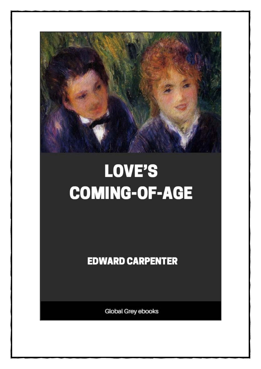

## LOVE'S **COMING-OF-AGE**

**EDWARD CARPENTER** 

Global Grey ebooks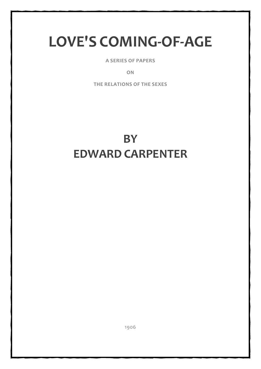## **LOVE'S COMING-OF-AGE**

**A SERIES OF PAPERS**

**ON**

**THE RELATIONS OF THE SEXES**

## **BY EDWARD CARPENTER**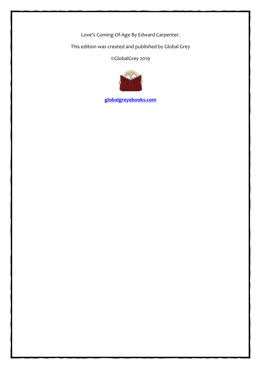Love's Coming-Of-Age By Edward Carpenter.

This edition was created and published by Global Grey

©GlobalGrey 2019



**[globalgreyebooks.com](https://www.globalgreyebooks.com/index.html)**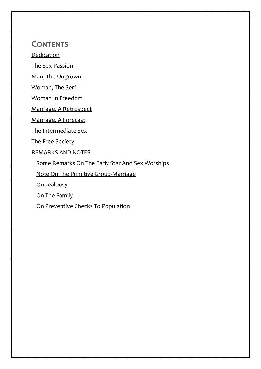**CONTENTS**

[Dedication](#page-4-0)

[The Sex-Passion](#page-5-0)

[Man, The Ungrown](#page-19-0)

[Woman, The Serf](#page-25-0)

[Woman In Freedom](#page-36-0)

[Marriage, A Retrospect](#page-47-0)

[Marriage, A Forecast](#page-58-0)

[The Intermediate Sex](#page-72-0)

[The Free Society](#page-84-0)

[REMARKS AND NOTES](#page-93-0)

[Some Remarks On The Early Star And Sex Worships](#page-94-0)

[Note On The Primitive Group-Marriage](#page-99-0)

[On Jealousy](#page-102-0)

[On The Family](#page-104-0)

[On Preventive Checks To Population](#page-106-0)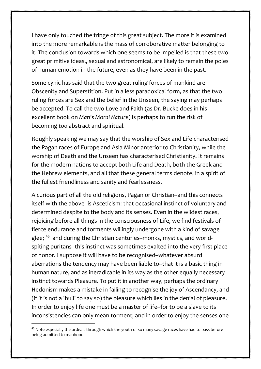I have only touched the fringe of this great subject. The more it is examined into the more remarkable is the mass of corroborative matter belonging to it. The conclusion towards which one seems to be impelled is that these two great primitive ideas,, sexual and astronomical, are likely to remain the poles of human emotion in the future, even as they have been in the past.

Some cynic has said that the two great ruling forces of mankind are Obscenity and Superstition. Put in a less paradoxical form, as that the two ruling forces are Sex and the belief in the Unseen, the saying may perhaps be accepted. To call the two Love and Faith (as Dr. Bucke does in his excellent book on *Man's Moral Nature*) is perhaps to run the risk of becoming *too* abstract and spiritual.

Roughly speaking we may say that the worship of Sex and Life characterised the Pagan races of Europe and Asia Minor anterior to Christianity, while the worship of Death and the Unseen has characterised Christianity. It remains for the modern nations to accept both Life and Death, both the Greek and the Hebrew elements, and all that these general terms denote, in a spirit of the fullest friendliness and sanity and fearlessness.

A curious part of all the old religions, Pagan or Christian--and this connects itself with the above--is Asceticism: that occasional instinct of voluntary and determined despite to the body and its senses. Even in the wildest races, rejoicing before all things in the consciousness of Life, we find festivals of fierce endurance and torments willingly undergone with a kind of savage glee; <sup>[45](#page-96-0)</sup> and during the Christian centuries--monks, mystics, and worldspiting puritans--this instinct was sometimes exalted into the very first place of honor. I suppose it will have to be recognised--whatever absurd aberrations the tendency may have been liable to--that it is a basic thing in human nature, and as ineradicable in its way as the other equally necessary instinct towards Pleasure. To put it in another way, perhaps the ordinary Hedonism makes a mistake in failing to recognise the joy of Ascendancy, and (if it is not a 'bull' to say so) the pleasure which lies in the denial of pleasure. In order to enjoy life one must be a master of life--for to be a slave to its inconsistencies can only mean torment; and in order to enjoy the senses one

<span id="page-96-0"></span><sup>45</sup> Note especially the ordeals through which the youth of so many savage races have had to pass before being admitted to manhood.

93